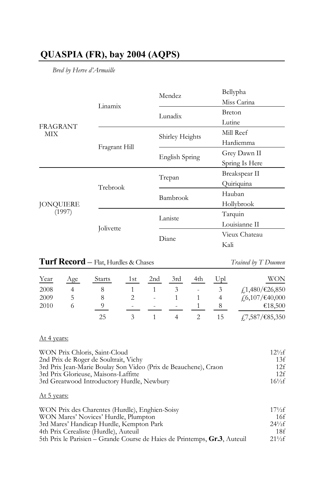# **QUASPIA (FR), bay 2004 (AQPS)**

*Bred by Herve d'Armaille*

|                            |               | Mendez          | Bellypha       |
|----------------------------|---------------|-----------------|----------------|
| <b>FRAGRANT</b><br>MIX     | Linamix       |                 | Miss Carina    |
|                            |               | Lunadix         | <b>Breton</b>  |
|                            |               |                 | Lutine         |
|                            |               | Shirley Heights | Mill Reef      |
|                            | Fragrant Hill |                 | Hardiemma      |
|                            |               | English Spring  | Grey Dawn II   |
|                            |               |                 | Spring Is Here |
| <b>JONQUIERE</b><br>(1997) |               | Trepan          | Breakspear II  |
|                            | Trebrook      |                 | Quiriquina     |
|                            |               | Bambrook        | Hauban         |
|                            |               |                 | Hollybrook     |
|                            |               | Laniste         | Tarquin        |
|                            | Jolivette     |                 | Louisianne II  |
|                            |               | Diane           | Vieux Chateau  |
|                            |               |                 | Kali           |
|                            |               |                 |                |

| <b>Turf Record</b> - Flat, Hurdles & Chases |     |         |  |  |                                     |  | Trained by T Doumen        |
|---------------------------------------------|-----|---------|--|--|-------------------------------------|--|----------------------------|
| Year                                        | Age | Starts  |  |  | 1st 2nd 3rd 4th Upl                 |  | <b>WON</b>                 |
| 2008                                        |     | - 8 - 8 |  |  | $1 \quad 1 \quad 3 \quad - \quad 3$ |  | $\frac{1}{4}$ ,480/€26,850 |

| 2009 |  | 2 - 1 | 1 4 | $\frac{1}{2}$ .6,107/€40,000              |
|------|--|-------|-----|-------------------------------------------|
| 2010 |  |       |     | $    1$ $8$ $\epsilon$ 18,500             |
|      |  |       |     | 1 4 2 15 $\frac{1}{7,587}/\text{£}85,350$ |

## At 4 years:

| WON Prix Chloris, Saint-Cloud                                   | $12^{1/2}$ f |
|-----------------------------------------------------------------|--------------|
| 2nd Prix de Roger de Soultrait, Vichy                           | 13f          |
| 3rd Prix Jean-Marie Boulay Son Video (Prix de Beauchene), Craon | 12f          |
| 3rd Prix Glorieuse, Maisons-Laffitte                            | 12f          |
| 3rd Greatwood Introductory Hurdle, Newbury                      | $16^{1/2}$ f |

## At 5 years:

| WON Prix des Charentes (Hurdle), Enghien-Soisy                            | $17\frac{1}{2}f$ |
|---------------------------------------------------------------------------|------------------|
| WON Mares' Novices' Hurdle, Plumpton                                      | 16f              |
| 3rd Mares' Handicap Hurdle, Kempton Park                                  | $24\frac{1}{2}f$ |
| 4th Prix Cerealiste (Hurdle), Auteuil                                     | 18f              |
| 5th Prix le Parisien – Grande Course de Haies de Printemps, Gr.3, Auteuil | $21\frac{1}{2}f$ |